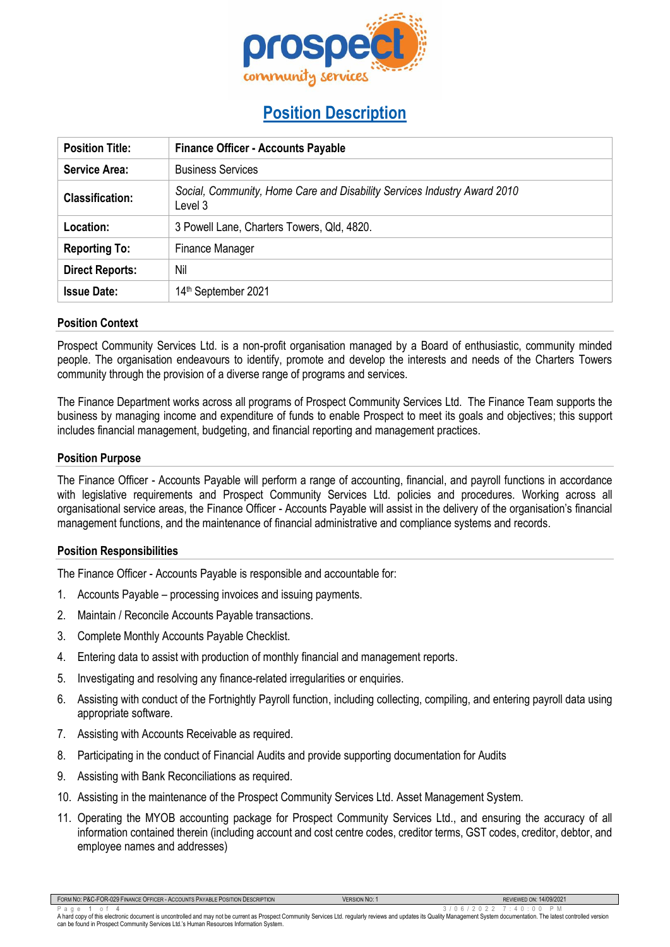

# **Position Description**

| <b>Position Title:</b> | <b>Finance Officer - Accounts Payable</b>                                           |  |
|------------------------|-------------------------------------------------------------------------------------|--|
| <b>Service Area:</b>   | <b>Business Services</b>                                                            |  |
| <b>Classification:</b> | Social, Community, Home Care and Disability Services Industry Award 2010<br>Level 3 |  |
| Location:              | 3 Powell Lane, Charters Towers, Qld, 4820.                                          |  |
| <b>Reporting To:</b>   | Finance Manager                                                                     |  |
| <b>Direct Reports:</b> | Nil                                                                                 |  |
| <b>Issue Date:</b>     | 14 <sup>th</sup> September 2021                                                     |  |

## **Position Context**

Prospect Community Services Ltd. is a non-profit organisation managed by a Board of enthusiastic, community minded people. The organisation endeavours to identify, promote and develop the interests and needs of the Charters Towers community through the provision of a diverse range of programs and services.

The Finance Department works across all programs of Prospect Community Services Ltd. The Finance Team supports the business by managing income and expenditure of funds to enable Prospect to meet its goals and objectives; this support includes financial management, budgeting, and financial reporting and management practices.

## **Position Purpose**

The Finance Officer - Accounts Payable will perform a range of accounting, financial, and payroll functions in accordance with legislative requirements and Prospect Community Services Ltd. policies and procedures. Working across all organisational service areas, the Finance Officer - Accounts Payable will assist in the delivery of the organisation's financial management functions, and the maintenance of financial administrative and compliance systems and records.

## **Position Responsibilities**

Г

The Finance Officer - Accounts Payable is responsible and accountable for:

- 1. Accounts Payable processing invoices and issuing payments.
- 2. Maintain / Reconcile Accounts Payable transactions.
- 3. Complete Monthly Accounts Payable Checklist.
- 4. Entering data to assist with production of monthly financial and management reports.
- 5. Investigating and resolving any finance-related irregularities or enquiries.
- 6. Assisting with conduct of the Fortnightly Payroll function, including collecting, compiling, and entering payroll data using appropriate software.
- 7. Assisting with Accounts Receivable as required.
- 8. Participating in the conduct of Financial Audits and provide supporting documentation for Audits
- 9. Assisting with Bank Reconciliations as required.
- 10. Assisting in the maintenance of the Prospect Community Services Ltd. Asset Management System.
- 11. Operating the MYOB accounting package for Prospect Community Services Ltd., and ensuring the accuracy of all information contained therein (including account and cost centre codes, creditor terms, GST codes, creditor, debtor, and employee names and addresses)

| FORM NO: P&C-FOR-029 FINANCE OFFICER - ACCOUNTS PAYABLE POSITION DESCRIPTION | <b>VERSION NO:</b> | 14/09/2021<br>REVIEWED ON: |
|------------------------------------------------------------------------------|--------------------|----------------------------|
| .                                                                            |                    |                            |

Page 1 of 4<br>A hard copy of this electronic document is uncontrolled and may not be current as Prospect Community Services Ltd. regularly reviews and updates its Quality Management System documentation. The latest controlle can be found in Prospect Community Services Ltd.'s Human Resources Information System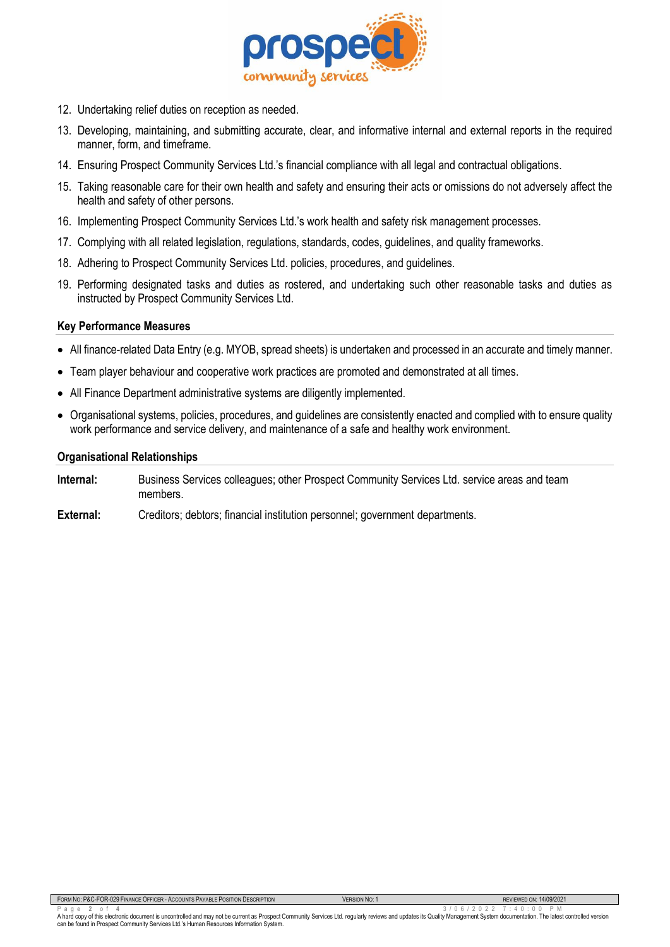

- 12. Undertaking relief duties on reception as needed.
- 13. Developing, maintaining, and submitting accurate, clear, and informative internal and external reports in the required manner, form, and timeframe.
- 14. Ensuring Prospect Community Services Ltd.'s financial compliance with all legal and contractual obligations.
- 15. Taking reasonable care for their own health and safety and ensuring their acts or omissions do not adversely affect the health and safety of other persons.
- 16. Implementing Prospect Community Services Ltd.'s work health and safety risk management processes.
- 17. Complying with all related legislation, regulations, standards, codes, guidelines, and quality frameworks.
- 18. Adhering to Prospect Community Services Ltd. policies, procedures, and guidelines.
- 19. Performing designated tasks and duties as rostered, and undertaking such other reasonable tasks and duties as instructed by Prospect Community Services Ltd.

#### **Key Performance Measures**

- All finance-related Data Entry (e.g. MYOB, spread sheets) is undertaken and processed in an accurate and timely manner.
- Team player behaviour and cooperative work practices are promoted and demonstrated at all times.
- All Finance Department administrative systems are diligently implemented.
- Organisational systems, policies, procedures, and guidelines are consistently enacted and complied with to ensure quality work performance and service delivery, and maintenance of a safe and healthy work environment.

#### **Organisational Relationships**

- **Internal:** Business Services colleagues; other Prospect Community Services Ltd. service areas and team members.
- **External:** Creditors; debtors; financial institution personnel; government departments.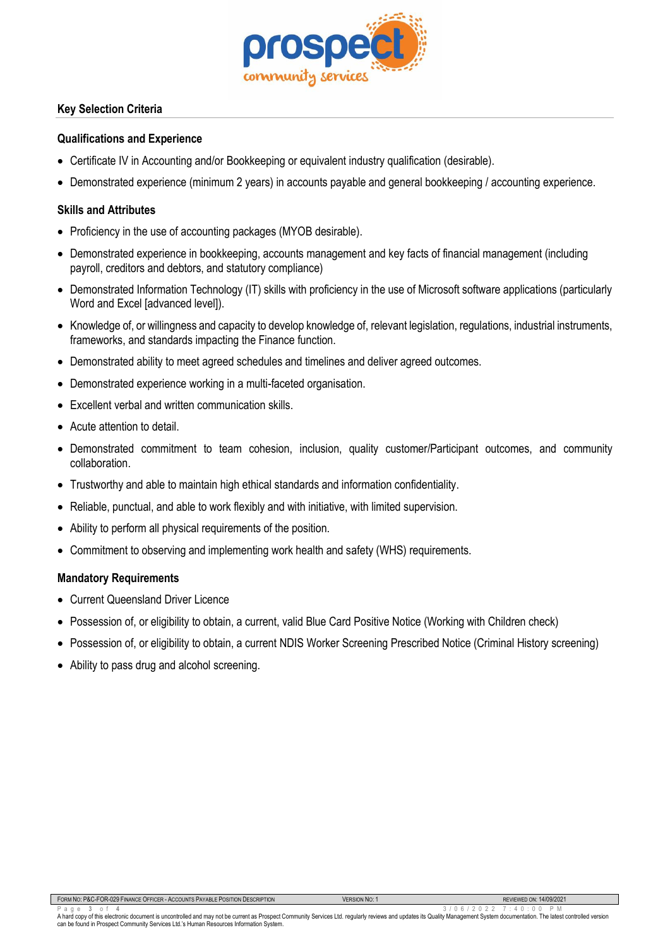

# **Key Selection Criteria**

## **Qualifications and Experience**

- Certificate IV in Accounting and/or Bookkeeping or equivalent industry qualification (desirable).
- Demonstrated experience (minimum 2 years) in accounts payable and general bookkeeping / accounting experience.

# **Skills and Attributes**

- Proficiency in the use of accounting packages (MYOB desirable).
- Demonstrated experience in bookkeeping, accounts management and key facts of financial management (including payroll, creditors and debtors, and statutory compliance)
- Demonstrated Information Technology (IT) skills with proficiency in the use of Microsoft software applications (particularly Word and Excel **[advanced level]**).
- Knowledge of, or willingness and capacity to develop knowledge of, relevant legislation, regulations, industrial instruments, frameworks, and standards impacting the Finance function.
- Demonstrated ability to meet agreed schedules and timelines and deliver agreed outcomes.
- Demonstrated experience working in a multi-faceted organisation.
- Excellent verbal and written communication skills.
- Acute attention to detail.
- Demonstrated commitment to team cohesion, inclusion, quality customer/Participant outcomes, and community collaboration.
- Trustworthy and able to maintain high ethical standards and information confidentiality.
- Reliable, punctual, and able to work flexibly and with initiative, with limited supervision.
- Ability to perform all physical requirements of the position.
- Commitment to observing and implementing work health and safety (WHS) requirements.

# **Mandatory Requirements**

- Current Queensland Driver Licence
- Possession of, or eligibility to obtain, a current, valid Blue Card Positive Notice (Working with Children check)
- Possession of, or eligibility to obtain, a current NDIS Worker Screening Prescribed Notice (Criminal History screening)
- Ability to pass drug and alcohol screening.